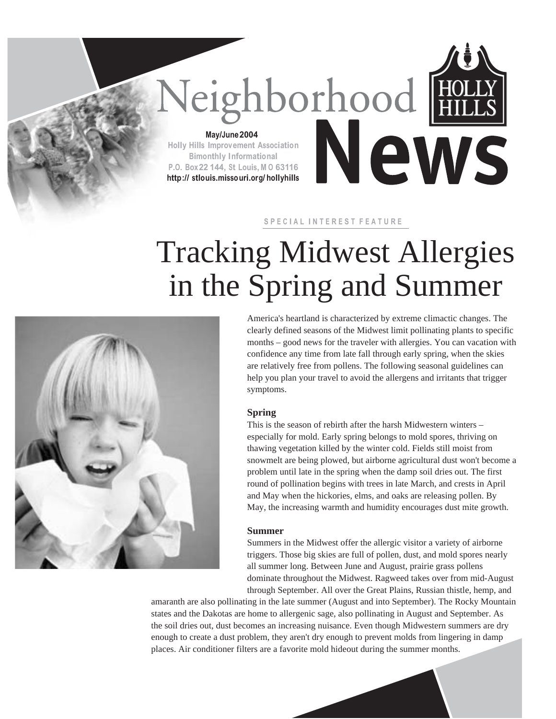# Neighborhood HOLL News **May/June2004**

**Holly Hills Improvement Association Bimonthly Informational P.O. Box22 144, St Louis, M O 63116 http:// stlouis.missouri.org/ hollyhills**

#### **S P E C I A L I N T E R E S T F E A T U R E**

## Tracking Midwest Allergies in the Spring and Summer



America's heartland is characterized by extreme climactic changes. The clearly defined seasons of the Midwest limit pollinating plants to specific months – good news for the traveler with allergies. You can vacation with confidence any time from late fall through early spring, when the skies are relatively free from pollens. The following seasonal guidelines can help you plan your travel to avoid the allergens and irritants that trigger symptoms.

#### **Spring**

This is the season of rebirth after the harsh Midwestern winters – especially for mold. Early spring belongs to mold spores, thriving on thawing vegetation killed by the winter cold. Fields still moist from snowmelt are being plowed, but airborne agricultural dust won't become a problem until late in the spring when the damp soil dries out. The first round of pollination begins with trees in late March, and crests in April and May when the hickories, elms, and oaks are releasing pollen. By May, the increasing warmth and humidity encourages dust mite growth.

#### **Summer**

Summers in the Midwest offer the allergic visitor a variety of airborne triggers. Those big skies are full of pollen, dust, and mold spores nearly all summer long. Between June and August, prairie grass pollens dominate throughout the Midwest. Ragweed takes over from mid-August through September. All over the Great Plains, Russian thistle, hemp, and

amaranth are also pollinating in the late summer (August and into September). The Rocky Mountain states and the Dakotas are home to allergenic sage, also pollinating in August and September. As the soil dries out, dust becomes an increasing nuisance. Even though Midwestern summers are dry enough to create a dust problem, they aren't dry enough to prevent molds from lingering in damp places. Air conditioner filters are a favorite mold hideout during the summer months.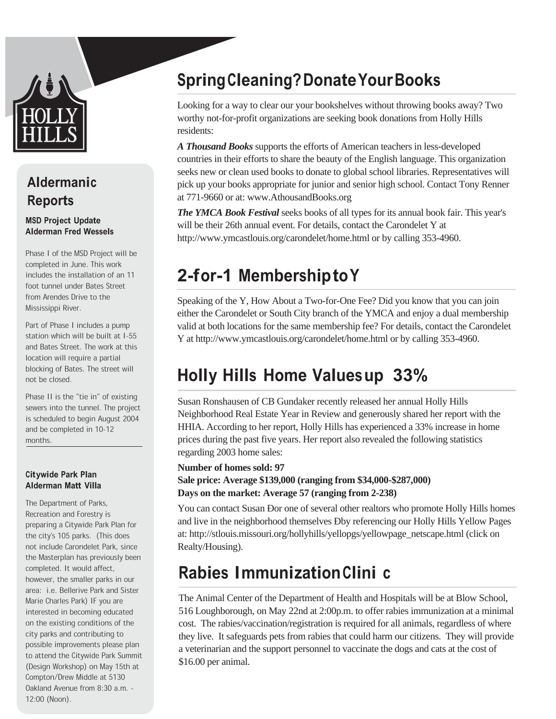

### **Aldermanic Reports**

#### **MSD Project Update Alderman Fred Wessels**

Phase I of the MSD Project will be completed in June. This work includes the installation of an 11 foot tunnel under Bates Street from Arendes Drive to the Mississippi River.

Part of Phase I includes a pump station which will be built at I-55 and Bates Street. The work at this location will require a partial blocking of Bates. The street will not be closed.

Phase II is the "tie in" of existing sewers into the tunnel. The project is scheduled to begin August 2004 and be completed in 10-12 months.

#### **Citywide Park Plan Alderman Matt Villa**

The Department of Parks, Recreation and Forestry is preparing a Citywide Park Plan for the city's 105 parks. (This does not include Carondelet Park, since the Masterplan has previously been completed. It would affect, however, the smaller parks in our area: i.e. Bellerive Park and Sister Marie Charles Park) IF you are interested in becoming educated on the existing conditions of the city parks and contributing to possible improvements please plan to attend the Citywide Park Summit (Design Workshop) on May 15th at Compton/Drew Middle at 5130 Oakland Avenue from 8:30 a.m. - 12:00 (Noon).

### **SpringCleaning?DonateYourBooks**

Looking for a way to clear our your bookshelves without throwing books away? Two worthy not-for-profit organizations are seeking book donations from Holly Hills residents:

*A Thousand Books* supports the efforts of American teachers in less-developed countries in their efforts to share the beauty of the English language. This organization seeks new or clean used books to donate to global school libraries. Representatives will pick up your books appropriate for junior and senior high school. Contact Tony Renner at 771-9660 or at: www.AthousandBooks.org

*The YMCA Book Festival* seeks books of all types for its annual book fair. This year's will be their 26th annual event. For details, contact the Carondelet Y at http://www.ymcastlouis.org/carondelet/home.html or by calling 353-4960.

### **2-for-1 MembershiptoY**

Speaking of the Y, How About a Two-for-One Fee? Did you know that you can join either the Carondelet or South City branch of the YMCA and enjoy a dual membership valid at both locations for the same membership fee? For details, contact the Carondelet Y at http://www.ymcastlouis.org/carondelet/home.html or by calling 353-4960.

### **Holly Hills Home Valuesup 33%**

Susan Ronshausen of CB Gundaker recently released her annual Holly Hills Neighborhood Real Estate Year in Review and generously shared her report with the HHIA. According to her report, Holly Hills has experienced a 33% increase in home prices during the past five years. Her report also revealed the following statistics regarding 2003 home sales:

#### **Number of homes sold: 97 Sale price: Average \$139,000 (ranging from \$34,000-\$287,000) Days on the market: Average 57 (ranging from 2-238)**

You can contact Susan Đor one of several other realtors who promote Holly Hills homes and live in the neighborhood themselves Dby referencing our Holly Hills Yellow Pages at: http://stlouis.missouri.org/hollyhills/yellopgs/yellowpage\_netscape.html (click on Realty/Housing).

## **Rabies ImmunizationClini c**

The Animal Center of the Department of Health and Hospitals will be at Blow School, 516 Loughborough, on May 22nd at 2:00p.m. to offer rabies immunization at a minimal cost. The rabies/vaccination/registration is required for all animals, regardless of where they live. It safeguards pets from rabies that could harm our citizens. They will provide a veterinarian and the support personnel to vaccinate the dogs and cats at the cost of \$16.00 per animal.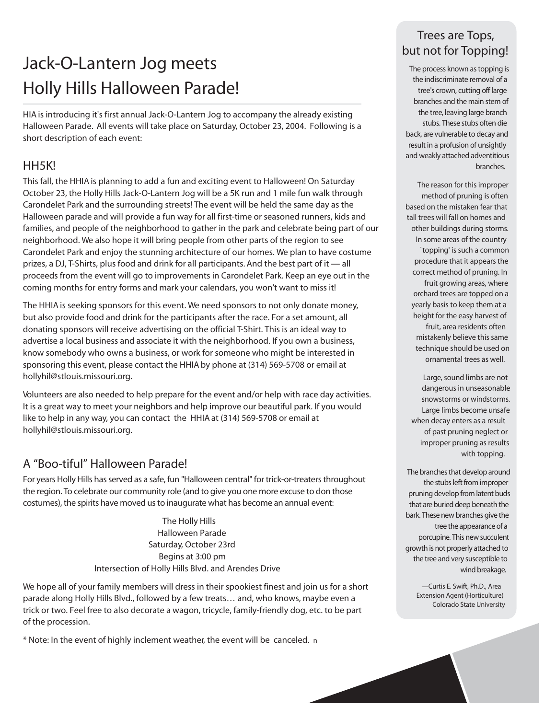## **Jack-O-Lantern Jog meets Holly Hills Halloween Parade!**

HIA is introducing it's first annual Jack-O-Lantern Jog to accompany the already existing Halloween Parade. All events will take place on Saturday, October 23, 2004. Following is a short description of each event:

### **HH5K!**

This fall, the HHIA is planning to add a fun and exciting event to Halloween! On Saturday October 23, the Holly Hills Jack-O-Lantern Jog will be a 5K run and 1 mile fun walk through Carondelet Park and the surrounding streets! The event will be held the same day as the Halloween parade and will provide a fun way for all first-time or seasoned runners, kids and families, and people of the neighborhood to gather in the park and celebrate being part of our neighborhood. We also hope it will bring people from other parts of the region to see Carondelet Park and enjoy the stunning architecture of our homes. We plan to have costume prizes, a DJ, T-Shirts, plus food and drink for all participants. And the best part of it — all proceeds from the event will go to improvements in Carondelet Park. Keep an eye out in the coming months for entry forms and mark your calendars, you won't want to miss it!

The HHIA is seeking sponsors for this event. We need sponsors to not only donate money, but also provide food and drink for the participants after the race. For a set amount, all donating sponsors will receive advertising on the official T-Shirt. This is an ideal way to advertise a local business and associate it with the neighborhood. If you own a business, know somebody who owns a business, or work for someone who might be interested in sponsoring this event, please contact the HHIA by phone at (314) 569-5708 or email at hollyhil@stlouis.missouri.org.

Volunteers are also needed to help prepare for the event and/or help with race day activities. It is a great way to meet your neighbors and help improve our beautiful park. If you would like to help in any way, you can contact the HHIA at (314) 569-5708 or email at hollyhil@stlouis.missouri.org.

### **A "Boo-tiful" Halloween Parade!**

For years Holly Hills has served as a safe, fun "Halloween central" for trick-or-treaters throughout the region. To celebrate our community role (and to give you one more excuse to don those costumes), the spirits have moved us to inaugurate what has become an annual event:

> **The Holly Hills Halloween Parade Saturday, October 23rd Begins at 3:00 pm Intersection of Holly Hills Blvd. and Arendes Drive**

We hope all of your family members will dress in their spookiest finest and join us for a short parade along Holly Hills Blvd., followed by a few treats… and, who knows, maybe even a trick or two. Feel free to also decorate a wagon, tricycle, family-friendly dog, etc. to be part of the procession.

*\* Note: In the event of highly inclement weather, the event will be canceled.* n

### **Trees are Tops, but not for Topping!**

The process known as topping is the indiscriminate removal of a tree's crown, cutting off large branches and the main stem of the tree, leaving large branch stubs. These stubs often die back, are vulnerable to decay and result in a profusion of unsightly and weakly attached adventitious branches.

The reason for this improper method of pruning is often based on the mistaken fear that tall trees will fall on homes and other buildings during storms. In some areas of the country `topping' is such a common procedure that it appears the correct method of pruning. In fruit growing areas, where orchard trees are topped on a yearly basis to keep them at a height for the easy harvest of fruit, area residents often mistakenly believe this same technique should be used on ornamental trees as well.

Large, sound limbs are not dangerous in unseasonable snowstorms or windstorms. Large limbs become unsafe when decay enters as a result of past pruning neglect or improper pruning as results with topping.

The branches that develop around the stubs left from improper pruning develop from latent buds that are buried deep beneath the bark. These new branches give the tree the appearance of a porcupine. This new succulent growth is not properly attached to the tree and very susceptible to wind breakage.

> *—Curtis E. Swift, Ph.D., Area Extension Agent (Horticulture) Colorado State University*